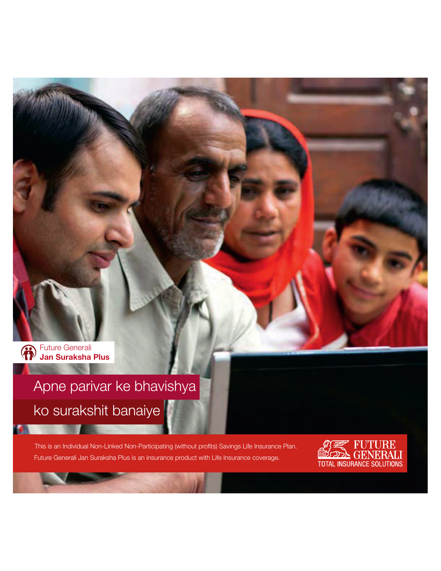Future Generali **Jan Suraksha Plus**

# Apne parivar ke bhavishya ko surakshit banaiye

Future Generali Jan Suraksha Plus is an insurance product with Life Insurance coverage. This is an Individual Non-Linked Non-Participating (without profits) Savings Life Insurance Plan.

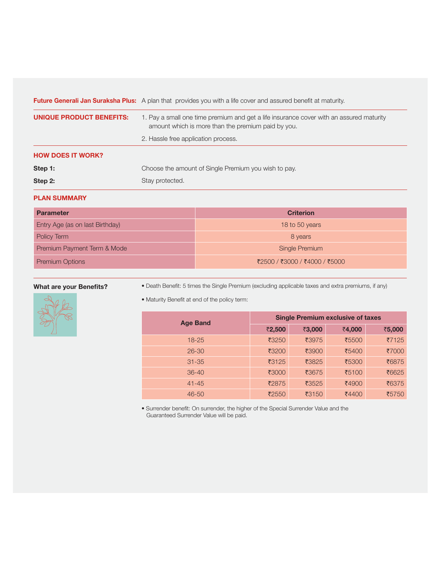**Future Generali Jan Suraksha Plus:** A plan that provides you with a life cover and assured benefit at maturity.

| UNIQUE PRODUCT BENEFITS: | 1. Pay a small one time premium and get a life insurance cover with an assured maturity<br>amount which is more than the premium paid by you.<br>2. Hassle free application process. |  |
|--------------------------|--------------------------------------------------------------------------------------------------------------------------------------------------------------------------------------|--|
| <b>HOW DOES IT WORK?</b> |                                                                                                                                                                                      |  |
| Step 1:                  | Choose the amount of Single Premium you wish to pay.                                                                                                                                 |  |
| Step 2:                  | Stay protected.                                                                                                                                                                      |  |

## **PLAN SUMMARY**

| <b>Parameter</b>                | <b>Criterion</b>              |
|---------------------------------|-------------------------------|
| Entry Age (as on last Birthday) | 18 to 50 years                |
| Policy Term                     | 8 years                       |
| Premium Payment Term & Mode     | Single Premium                |
| <b>Premium Options</b>          | ₹2500 / ₹3000 / ₹4000 / ₹5000 |

# **What are your Benefits?**



• Death Benefit: 5 times the Single Premium (excluding applicable taxes and extra premiums, if any)

• Maturity Benefit at end of the policy term:

| <b>Age Band</b> | <b>Single Premium exclusive of taxes</b> |        |        |        |
|-----------------|------------------------------------------|--------|--------|--------|
|                 | ₹2,500                                   | ₹3,000 | ₹4,000 | ₹5,000 |
| $18 - 25$       | ₹3250                                    | ₹3975  | ₹5500  | ₹7125  |
| $26 - 30$       | ₹3200                                    | ₹3900  | ₹5400  | ₹7000  |
| $31 - 35$       | ₹3125                                    | ₹3825  | ₹5300  | ₹6875  |
| $36 - 40$       | ₹3000                                    | ₹3675  | ₹5100  | ₹6625  |
| $41 - 45$       | ₹2875                                    | ₹3525  | ₹4900  | ₹6375  |
| $46 - 50$       | ₹2550                                    | ₹3150  | ₹4400  | ₹5750  |

• Surrender benefit: On surrender, the higher of the Special Surrender Value and the Guaranteed Surrender Value will be paid.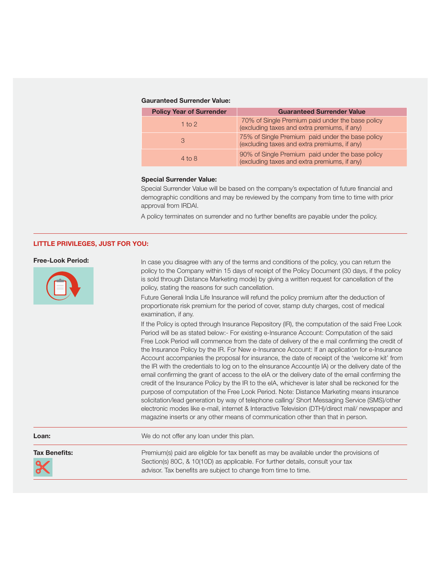#### **Gauranteed Surrender Value:**

| <b>Policy Year of Surrender</b> | <b>Guaranteed Surrender Value</b>                                                                |
|---------------------------------|--------------------------------------------------------------------------------------------------|
| 1 to $2$                        | 70% of Single Premium paid under the base policy<br>(excluding taxes and extra premiums, if any) |
| 3                               | 75% of Single Premium paid under the base policy<br>(excluding taxes and extra premiums, if any) |
| $4$ to $8$                      | 90% of Single Premium paid under the base policy<br>(excluding taxes and extra premiums, if any) |

#### **Special Surrender Value:**

Special Surrender Value will be based on the company's expectation of future financial and demographic conditions and may be reviewed by the company from time to time with prior approval from IRDAI.

A policy terminates on surrender and no further benefits are payable under the policy.

#### **LITTLE PRIVILEGES, JUST FOR YOU:**

#### **Free-Look Period:**



In case you disagree with any of the terms and conditions of the policy, you can return the policy to the Company within 15 days of receipt of the Policy Document (30 days, if the policy is sold through Distance Marketing mode) by giving a written request for cancellation of the policy, stating the reasons for such cancellation.

Future Generali India Life Insurance will refund the policy premium after the deduction of proportionate risk premium for the period of cover, stamp duty charges, cost of medical examination, if any.

If the Policy is opted through Insurance Repository (IR), the computation of the said Free Look Period will be as stated below:- For existing e-Insurance Account: Computation of the said Free Look Period will commence from the date of delivery of the e mail confirming the credit of the Insurance Policy by the IR. For New e-Insurance Account: If an application for e-Insurance Account accompanies the proposal for insurance, the date of receipt of the 'welcome kit' from the IR with the credentials to log on to the eInsurance Account (e IA) or the delivery date of the email confirming the grant of access to the eIA or the delivery date of the email confirming the credit of the Insurance Policy by the IR to the eIA, whichever is later shall be reckoned for the purpose of computation of the Free Look Period. Note: Distance Marketing means insurance solicitation/lead generation by way of telephone calling/ Short Messaging Service (SMS)/other electronic modes like e-mail, internet & Interactive Television (DTH)/direct mail/ newspaper and magazine inserts or any other means of communication other than that in person.

**Loan:** Ne do not offer any loan under this plan.



**Tax Benefits:** Premium(s) paid are eligible for tax benefit as may be available under the provisions of Section(s) 80C, & 10(10D) as applicable. For further details, consult your tax advisor. Tax benefits are subject to change from time to time.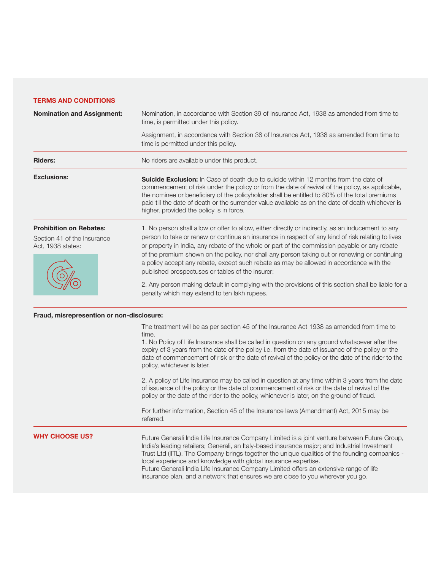### **TERMS AND CONDITIONS**

| <b>Nomination and Assignment:</b>                                                  | Nomination, in accordance with Section 39 of Insurance Act, 1938 as amended from time to<br>time, is permitted under this policy.                                                                                                                                                                                                                                                                                                                                                                                                                        |  |  |
|------------------------------------------------------------------------------------|----------------------------------------------------------------------------------------------------------------------------------------------------------------------------------------------------------------------------------------------------------------------------------------------------------------------------------------------------------------------------------------------------------------------------------------------------------------------------------------------------------------------------------------------------------|--|--|
|                                                                                    | Assignment, in accordance with Section 38 of Insurance Act, 1938 as amended from time to<br>time is permitted under this policy.                                                                                                                                                                                                                                                                                                                                                                                                                         |  |  |
| <b>Riders:</b>                                                                     | No riders are available under this product.                                                                                                                                                                                                                                                                                                                                                                                                                                                                                                              |  |  |
| <b>Exclusions:</b>                                                                 | <b>Suicide Exclusion:</b> In Case of death due to suicide within 12 months from the date of<br>commencement of risk under the policy or from the date of revival of the policy, as applicable,<br>the nominee or beneficiary of the policyholder shall be entitled to 80% of the total premiums<br>paid till the date of death or the surrender value available as on the date of death whichever is<br>higher, provided the policy is in force.                                                                                                         |  |  |
| <b>Prohibition on Rebates:</b><br>Section 41 of the Insurance<br>Act, 1938 states: | 1. No person shall allow or offer to allow, either directly or indirectly, as an inducement to any<br>person to take or renew or continue an insurance in respect of any kind of risk relating to lives<br>or property in India, any rebate of the whole or part of the commission payable or any rebate<br>of the premium shown on the policy, nor shall any person taking out or renewing or continuing<br>a policy accept any rebate, except such rebate as may be allowed in accordance with the<br>published prospectuses or tables of the insurer: |  |  |
|                                                                                    | 2. Any person making default in complying with the provisions of this section shall be liable for a<br>penalty which may extend to ten lakh rupees.                                                                                                                                                                                                                                                                                                                                                                                                      |  |  |
| Fraud, misrepresention or non-disclosure:                                          |                                                                                                                                                                                                                                                                                                                                                                                                                                                                                                                                                          |  |  |
|                                                                                    | The treatment will be as per section 45 of the Insurance Act 1938 as amended from time to<br>time.<br>1. No Policy of Life Insurance shall be called in question on any ground whatsoever after the<br>expiry of 3 years from the date of the policy i.e. from the date of issuance of the policy or the<br>date of commencement of risk or the date of revival of the policy or the date of the rider to the<br>policy, whichever is later.                                                                                                             |  |  |
|                                                                                    | 2. A policy of Life Insurance may be called in question at any time within 3 years from the date<br>of issuance of the policy or the date of commencement of risk or the date of revival of the<br>policy or the date of the rider to the policy, whichever is later, on the ground of fraud.                                                                                                                                                                                                                                                            |  |  |
|                                                                                    | For further information, Section 45 of the Insurance laws (Amendment) Act, 2015 may be<br>referred.                                                                                                                                                                                                                                                                                                                                                                                                                                                      |  |  |
| <b>INITA CHUUGE I IG</b>                                                           |                                                                                                                                                                                                                                                                                                                                                                                                                                                                                                                                                          |  |  |

#### **WHY CHOOSE US?**

Future Generali India Life Insurance Company Limited is a joint venture between Future Group, India's leading retailers; Generali, an Italy-based insurance major; and Industrial Investment Trust Ltd (IITL). The Company brings together the unique qualities of the founding companies local experience and knowledge with global insurance expertise. Future Generali India Life Insurance Company Limited offers an extensive range of life insurance plan, and a network that ensures we are close to you wherever you go.